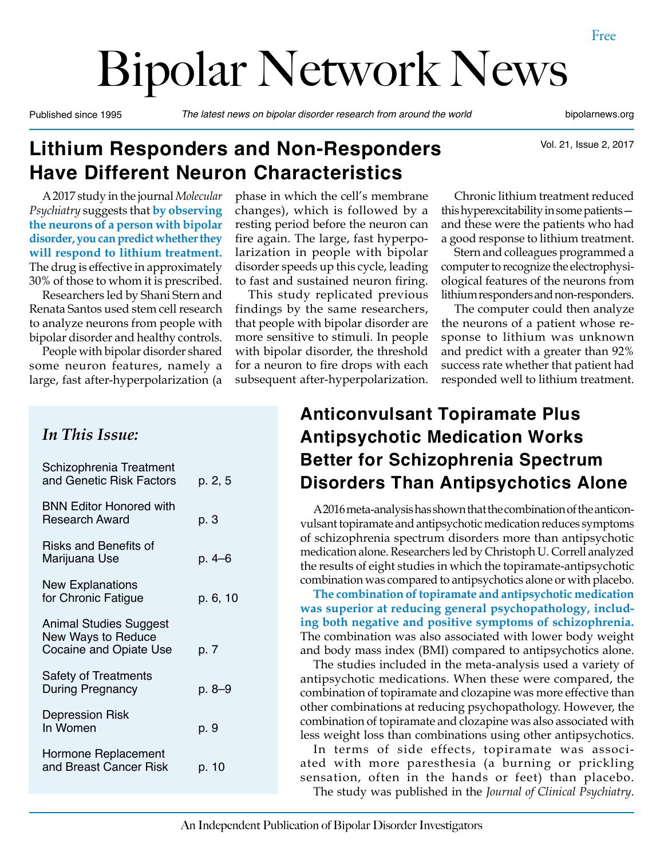# Bipolar Network News

Published since 1995 *The latest news on bipolar disorder research from around the world* bipolarnews.org

Vol. 21, Issue 2, 2017

# **Lithium Responders and Non-Responders Have Different Neuron Characteristics**

A 2017 study in the journal *Molecular Psychiatry* suggests that **by observing the neurons of a person with bipolar disorder, you can predict whether they will respond to lithium treatment.** The drug is effective in approximately 30% of those to whom it is prescribed.

Researchers led by Shani Stern and Renata Santos used stem cell research to analyze neurons from people with bipolar disorder and healthy controls.

People with bipolar disorder shared some neuron features, namely a large, fast after-hyperpolarization (a

#### phase in which the cell's membrane changes), which is followed by a resting period before the neuron can fire again. The large, fast hyperpolarization in people with bipolar disorder speeds up this cycle, leading to fast and sustained neuron firing.

This study replicated previous findings by the same researchers, that people with bipolar disorder are more sensitive to stimuli. In people with bipolar disorder, the threshold for a neuron to fire drops with each subsequent after-hyperpolarization.

Chronic lithium treatment reduced this hyperexcitability in some patients and these were the patients who had a good response to lithium treatment.

Stern and colleagues programmed a computer to recognize the electrophysiological features of the neurons from lithium responders and non-responders.

The computer could then analyze the neurons of a patient whose response to lithium was unknown and predict with a greater than 92% success rate whether that patient had responded well to lithium treatment.

#### *In This Issue:*

| Schizophrenia Treatment<br>and Genetic Risk Factors                           | p. 2, 5  |
|-------------------------------------------------------------------------------|----------|
| <b>BNN Editor Honored with</b><br><b>Research Award</b>                       | p. 3     |
| Risks and Benefits of<br>Marijuana Use                                        | p. 4–6   |
| <b>New Explanations</b><br>for Chronic Fatigue                                | p. 6, 10 |
| Animal Studies Suggest<br>New Ways to Reduce<br><b>Cocaine and Opiate Use</b> | p. 7     |
| <b>Safety of Treatments</b><br><b>During Pregnancy</b>                        | p. 8–9   |
| <b>Depression Risk</b><br>In Women                                            | p. 9     |
| Hormone Replacement<br>and Breast Cancer Risk                                 | p. 10    |

## **Anticonvulsant Topiramate Plus Antipsychotic Medication Works Better for Schizophrenia Spectrum Disorders Than Antipsychotics Alone**

A 2016 meta-analysis has shown that the combination of the anticonvulsant topiramate and antipsychotic medication reduces symptoms of schizophrenia spectrum disorders more than antipsychotic medication alone. Researchers led by Christoph U. Correll analyzed the results of eight studies in which the topiramate-antipsychotic combination was compared to antipsychotics alone or with placebo.

**The combination of topiramate and antipsychotic medication was superior at reducing general psychopathology, including both negative and positive symptoms of schizophrenia.**  The combination was also associated with lower body weight and body mass index (BMI) compared to antipsychotics alone.

The studies included in the meta-analysis used a variety of antipsychotic medications. When these were compared, the combination of topiramate and clozapine was more effective than other combinations at reducing psychopathology. However, the combination of topiramate and clozapine was also associated with less weight loss than combinations using other antipsychotics.

In terms of side effects, topiramate was associated with more paresthesia (a burning or prickling sensation, often in the hands or feet) than placebo. The study was published in the *Journal of Clinical Psychiatry*.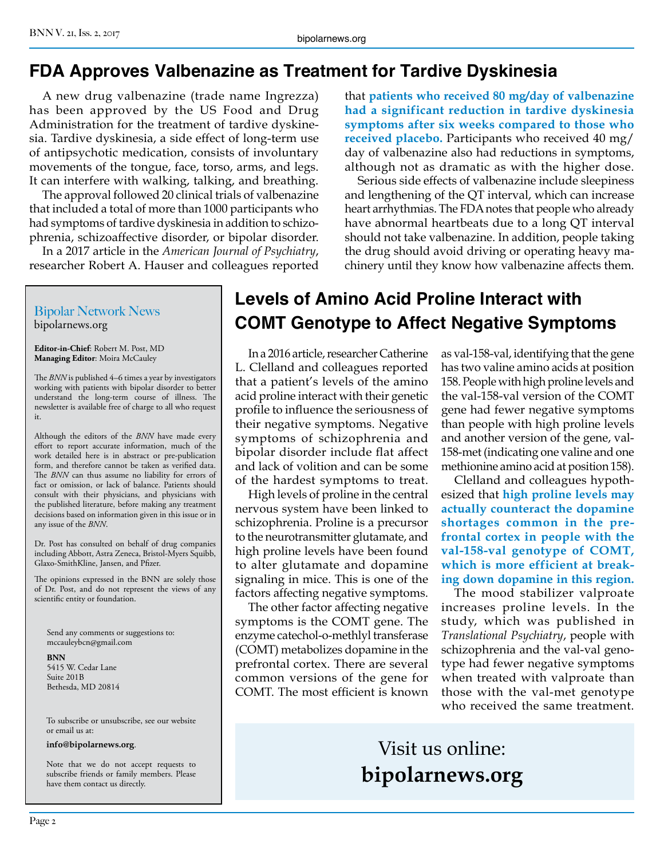# **FDA Approves Valbenazine as Treatment for Tardive Dyskinesia**

A new drug valbenazine (trade name Ingrezza) has been approved by the US Food and Drug Administration for the treatment of tardive dyskinesia. Tardive dyskinesia, a side effect of long-term use of antipsychotic medication, consists of involuntary movements of the tongue, face, torso, arms, and legs. It can interfere with walking, talking, and breathing.

The approval followed 20 clinical trials of valbenazine that included a total of more than 1000 participants who had symptoms of tardive dyskinesia in addition to schizophrenia, schizoaffective disorder, or bipolar disorder.

In a 2017 article in the *American Journal of Psychiatry*, researcher Robert A. Hauser and colleagues reported that **patients who received 80 mg/day of valbenazine had a significant reduction in tardive dyskinesia symptoms after six weeks compared to those who received placebo.** Participants who received 40 mg/ day of valbenazine also had reductions in symptoms, although not as dramatic as with the higher dose.

Serious side effects of valbenazine include sleepiness and lengthening of the QT interval, which can increase heart arrhythmias. The FDA notes that people who already have abnormal heartbeats due to a long QT interval should not take valbenazine. In addition, people taking the drug should avoid driving or operating heavy machinery until they know how valbenazine affects them.

#### Bipolar Network News bipolarnews.org

**Editor-in-Chief**: Robert M. Post, MD **Managing Editor**: Moira McCauley

The *BNN* is published 4–6 times a year by investigators working with patients with bipolar disorder to better understand the long-term course of illness. The newsletter is available free of charge to all who request it.

Although the editors of the *BNN* have made every effort to report accurate information, much of the work detailed here is in abstract or pre-publication form, and therefore cannot be taken as verified data. The *BNN* can thus assume no liability for errors of fact or omission, or lack of balance. Patients should consult with their physicians, and physicians with the published literature, before making any treatment decisions based on information given in this issue or in any issue of the *BNN*.

Dr. Post has consulted on behalf of drug companies including Abbott, Astra Zeneca, Bristol-Myers Squibb, Glaxo-SmithKline, Jansen, and Pfizer.

The opinions expressed in the BNN are solely those of Dr. Post, and do not represent the views of any scientific entity or foundation.

Send any comments or suggestions to: mccauleybcn@gmail.com

#### **BNN** 5415 W. Cedar Lane Suite 201B Bethesda, MD 20814

To subscribe or unsubscribe, see our website or email us at:

#### **info@bipolarnews.org**.

Note that we do not accept requests to subscribe friends or family members. Please have them contact us directly.

## **Levels of Amino Acid Proline Interact with COMT Genotype to Affect Negative Symptoms**

In a 2016 article, researcher Catherine L. Clelland and colleagues reported that a patient's levels of the amino acid proline interact with their genetic profile to influence the seriousness of their negative symptoms. Negative symptoms of schizophrenia and bipolar disorder include flat affect and lack of volition and can be some of the hardest symptoms to treat.

High levels of proline in the central nervous system have been linked to schizophrenia. Proline is a precursor to the neurotransmitter glutamate, and high proline levels have been found to alter glutamate and dopamine signaling in mice. This is one of the factors affecting negative symptoms.

The other factor affecting negative symptoms is the COMT gene. The enzyme catechol-o-methlyl transferase (COMT) metabolizes dopamine in the prefrontal cortex. There are several common versions of the gene for COMT. The most efficient is known

as val-158-val, identifying that the gene has two valine amino acids at position 158. People with high proline levels and the val-158-val version of the COMT gene had fewer negative symptoms than people with high proline levels and another version of the gene, val-158-met (indicating one valine and one methionine amino acid at position 158).

Clelland and colleagues hypothesized that **high proline levels may actually counteract the dopamine shortages common in the prefrontal cortex in people with the val-158-val genotype of COMT, which is more efficient at breaking down dopamine in this region.**

The mood stabilizer valproate increases proline levels. In the study, which was published in *Translational Psychiatry*, people with schizophrenia and the val-val genotype had fewer negative symptoms when treated with valproate than those with the val-met genotype who received the same treatment.

# Visit us online: **bipolarnews.org**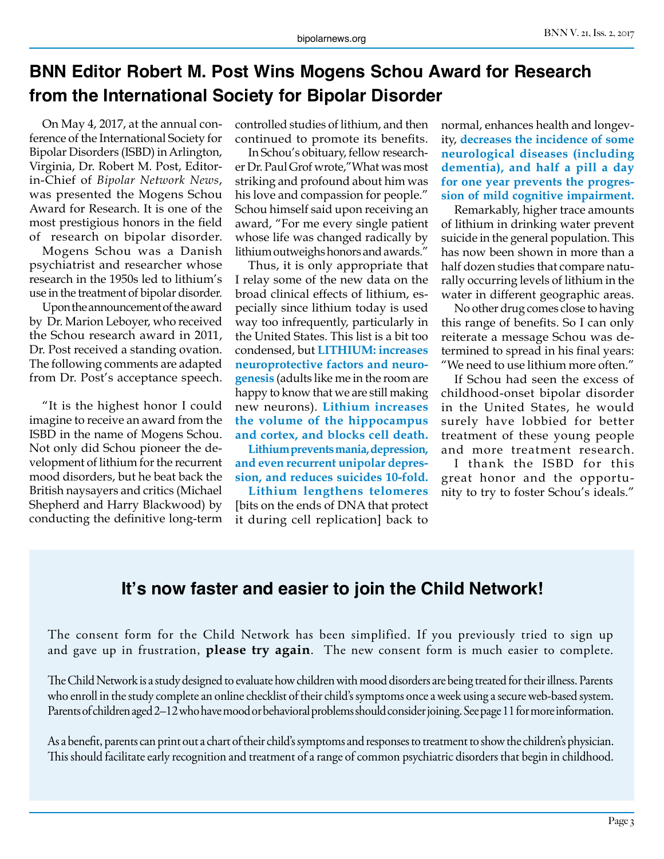## **BNN Editor Robert M. Post Wins Mogens Schou Award for Research from the International Society for Bipolar Disorder**

On May 4, 2017, at the annual conference of the International Society for Bipolar Disorders (ISBD) in Arlington, Virginia, Dr. Robert M. Post, Editorin-Chief of *Bipolar Network News*, was presented the Mogens Schou Award for Research. It is one of the most prestigious honors in the field of research on bipolar disorder.

Mogens Schou was a Danish psychiatrist and researcher whose research in the 1950s led to lithium's use in the treatment of bipolar disorder.

Upon the announcement of the award by Dr. Marion Leboyer, who received the Schou research award in 2011, Dr. Post received a standing ovation. The following comments are adapted from Dr. Post's acceptance speech.

"It is the highest honor I could imagine to receive an award from the ISBD in the name of Mogens Schou. Not only did Schou pioneer the development of lithium for the recurrent mood disorders, but he beat back the British naysayers and critics (Michael Shepherd and Harry Blackwood) by conducting the definitive long-term

controlled studies of lithium, and then continued to promote its benefits.

In Schou's obituary, fellow researcher Dr. Paul Grof wrote,"What was most striking and profound about him was his love and compassion for people." Schou himself said upon receiving an award, "For me every single patient whose life was changed radically by lithium outweighs honors and awards."

Thus, it is only appropriate that I relay some of the new data on the broad clinical effects of lithium, especially since lithium today is used way too infrequently, particularly in the United States. This list is a bit too condensed, but **LITHIUM: increases neuroprotective factors and neurogenesis** (adults like me in the room are happy to know that we are still making new neurons). **Lithium increases the volume of the hippocampus and cortex, and blocks cell death.**

**Lithium prevents mania, depression, and even recurrent unipolar depression, and reduces suicides 10-fold.** 

**Lithium lengthens telomeres**  [bits on the ends of DNA that protect it during cell replication] back to normal, enhances health and longevity, **decreases the incidence of some neurological diseases (including dementia), and half a pill a day for one year prevents the progression of mild cognitive impairment.**

Remarkably, higher trace amounts of lithium in drinking water prevent suicide in the general population. This has now been shown in more than a half dozen studies that compare naturally occurring levels of lithium in the water in different geographic areas.

No other drug comes close to having this range of benefits. So I can only reiterate a message Schou was determined to spread in his final years: "We need to use lithium more often."

If Schou had seen the excess of childhood-onset bipolar disorder in the United States, he would surely have lobbied for better treatment of these young people and more treatment research.

I thank the ISBD for this great honor and the opportunity to try to foster Schou's ideals."

#### **It's now faster and easier to join the Child Network!**

The consent form for the Child Network has been simplified. If you previously tried to sign up and gave up in frustration, **please try again**. The new consent form is much easier to complete.

The Child Network is a study designed to evaluate how children with mood disorders are being treated for their illness. Parents who enroll in the study complete an online checklist of their child's symptoms once a week using a secure web-based system. Parents of children aged 2–12 who have mood or behavioral problems should consider joining. See page 11 for more information.

As a benefit, parents can print out a chart of their child's symptoms and responses to treatment to show the children's physician. This should facilitate early recognition and treatment of a range of common psychiatric disorders that begin in childhood.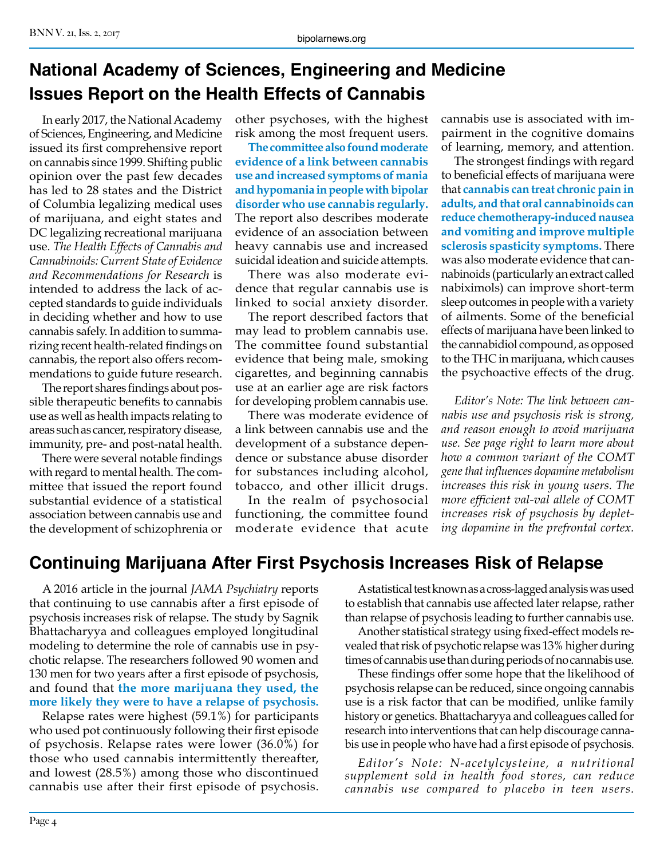# **National Academy of Sciences, Engineering and Medicine Issues Report on the Health Effects of Cannabis**

In early 2017, the National Academy of Sciences, Engineering, and Medicine issued its first comprehensive report on cannabis since 1999. Shifting public opinion over the past few decades has led to 28 states and the District of Columbia legalizing medical uses of marijuana, and eight states and DC legalizing recreational marijuana use. *The Health Effects of Cannabis and Cannabinoids: Current State of Evidence and Recommendations for Research* is intended to address the lack of accepted standards to guide individuals in deciding whether and how to use cannabis safely. In addition to summarizing recent health-related findings on cannabis, the report also offers recommendations to guide future research.

The report shares findings about possible therapeutic benefits to cannabis use as well as health impacts relating to areas such as cancer, respiratory disease, immunity, pre- and post-natal health.

There were several notable findings with regard to mental health. The committee that issued the report found substantial evidence of a statistical association between cannabis use and the development of schizophrenia or

other psychoses, with the highest risk among the most frequent users.

**The committee also found moderate evidence of a link between cannabis use and increased symptoms of mania and hypomania in people with bipolar disorder who use cannabis regularly.**  The report also describes moderate evidence of an association between heavy cannabis use and increased suicidal ideation and suicide attempts.

There was also moderate evidence that regular cannabis use is linked to social anxiety disorder.

The report described factors that may lead to problem cannabis use. The committee found substantial evidence that being male, smoking cigarettes, and beginning cannabis use at an earlier age are risk factors for developing problem cannabis use.

There was moderate evidence of a link between cannabis use and the development of a substance dependence or substance abuse disorder for substances including alcohol, tobacco, and other illicit drugs.

In the realm of psychosocial functioning, the committee found moderate evidence that acute cannabis use is associated with impairment in the cognitive domains of learning, memory, and attention.

The strongest findings with regard to beneficial effects of marijuana were that **cannabis can treat chronic pain in adults, and that oral cannabinoids can reduce chemotherapy-induced nausea and vomiting and improve multiple sclerosis spasticity symptoms.** There was also moderate evidence that cannabinoids (particularly an extract called nabiximols) can improve short-term sleep outcomes in people with a variety of ailments. Some of the beneficial effects of marijuana have been linked to the cannabidiol compound, as opposed to the THC in marijuana, which causes the psychoactive effects of the drug.

*Editor's Note: The link between cannabis use and psychosis risk is strong, and reason enough to avoid marijuana use. See page right to learn more about how a common variant of the COMT gene that influences dopamine metabolism increases this risk in young users. The more efficient val-val allele of COMT increases risk of psychosis by depleting dopamine in the prefrontal cortex.*

## **Continuing Marijuana After First Psychosis Increases Risk of Relapse**

A 2016 article in the journal *JAMA Psychiatry* reports that continuing to use cannabis after a first episode of psychosis increases risk of relapse. The study by Sagnik Bhattacharyya and colleagues employed longitudinal modeling to determine the role of cannabis use in psychotic relapse. The researchers followed 90 women and 130 men for two years after a first episode of psychosis, and found that **the more marijuana they used, the more likely they were to have a relapse of psychosis.**

Relapse rates were highest (59.1%) for participants who used pot continuously following their first episode of psychosis. Relapse rates were lower (36.0%) for those who used cannabis intermittently thereafter, and lowest (28.5%) among those who discontinued cannabis use after their first episode of psychosis.

A statistical test known as a cross-lagged analysis was used to establish that cannabis use affected later relapse, rather than relapse of psychosis leading to further cannabis use.

Another statistical strategy using fixed-effect models revealed that risk of psychotic relapse was 13% higher during times of cannabis use than during periods of no cannabis use.

These findings offer some hope that the likelihood of psychosis relapse can be reduced, since ongoing cannabis use is a risk factor that can be modified, unlike family history or genetics. Bhattacharyya and colleagues called for research into interventions that can help discourage cannabis use in people who have had a first episode of psychosis.

*Editor's Note: N-acetylcysteine, a nutritional supplement sold in health food stores, can reduce cannabis use compared to placebo in teen users.*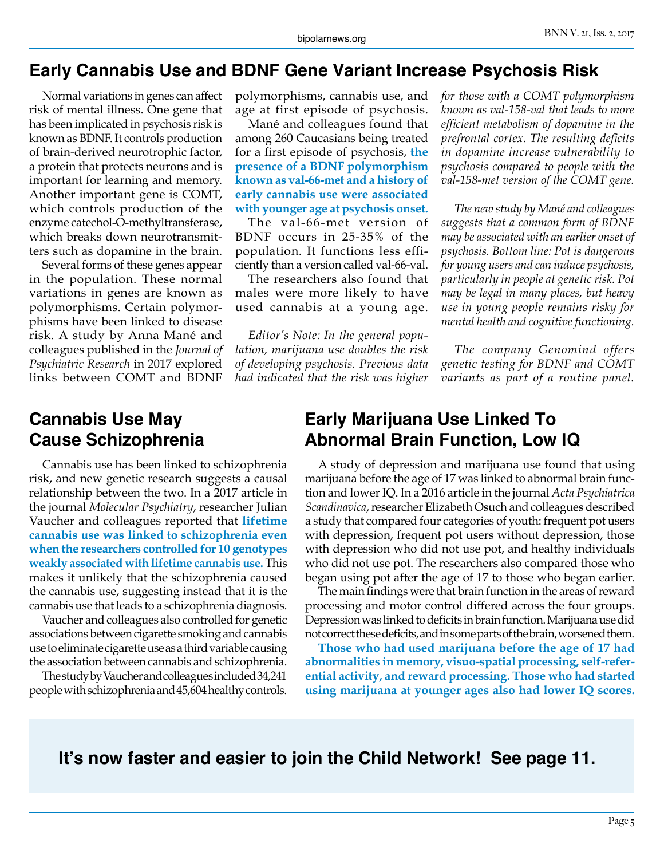#### **Early Cannabis Use and BDNF Gene Variant Increase Psychosis Risk**

Normal variations in genes can affect risk of mental illness. One gene that has been implicated in psychosis risk is known as BDNF. It controls production of brain-derived neurotrophic factor, a protein that protects neurons and is important for learning and memory. Another important gene is COMT, which controls production of the enzyme catechol-O-methyltransferase, which breaks down neurotransmitters such as dopamine in the brain.

Several forms of these genes appear in the population. These normal variations in genes are known as polymorphisms. Certain polymorphisms have been linked to disease risk. A study by Anna Mané and colleagues published in the *Journal of Psychiatric Research* in 2017 explored links between COMT and BDNF

polymorphisms, cannabis use, and age at first episode of psychosis.

Mané and colleagues found that among 260 Caucasians being treated for a first episode of psychosis, **the presence of a BDNF polymorphism known as val-66-met and a history of early cannabis use were associated with younger age at psychosis onset.**

The val-66-met version of BDNF occurs in 25-35% of the population. It functions less efficiently than a version called val-66-val.

The researchers also found that males were more likely to have used cannabis at a young age.

*Editor's Note: In the general population, marijuana use doubles the risk of developing psychosis. Previous data had indicated that the risk was higher*  *for those with a COMT polymorphism known as val-158-val that leads to more efficient metabolism of dopamine in the prefrontal cortex. The resulting deficits in dopamine increase vulnerability to psychosis compared to people with the val-158-met version of the COMT gene.*

*The new study by Mané and colleagues suggests that a common form of BDNF may be associated with an earlier onset of psychosis. Bottom line: Pot is dangerous for young users and can induce psychosis, particularly in people at genetic risk. Pot may be legal in many places, but heavy use in young people remains risky for mental health and cognitive functioning.*

*The company Genomind offers genetic testing for BDNF and COMT variants as part of a routine panel.*

#### **Cannabis Use May Cause Schizophrenia**

Cannabis use has been linked to schizophrenia risk, and new genetic research suggests a causal relationship between the two. In a 2017 article in the journal *Molecular Psychiatry*, researcher Julian Vaucher and colleagues reported that **lifetime cannabis use was linked to schizophrenia even when the researchers controlled for 10 genotypes weakly associated with lifetime cannabis use.** This makes it unlikely that the schizophrenia caused the cannabis use, suggesting instead that it is the cannabis use that leads to a schizophrenia diagnosis.

Vaucher and colleagues also controlled for genetic associations between cigarette smoking and cannabis use to eliminate cigarette use as a third variable causing the association between cannabis and schizophrenia.

The study by Vaucher and colleagues included 34,241 people with schizophrenia and 45,604 healthy controls.

### **Early Marijuana Use Linked To Abnormal Brain Function, Low IQ**

A study of depression and marijuana use found that using marijuana before the age of 17 was linked to abnormal brain function and lower IQ. In a 2016 article in the journal *Acta Psychiatrica Scandinavica*, researcher Elizabeth Osuch and colleagues described a study that compared four categories of youth: frequent pot users with depression, frequent pot users without depression, those with depression who did not use pot, and healthy individuals who did not use pot. The researchers also compared those who began using pot after the age of 17 to those who began earlier.

The main findings were that brain function in the areas of reward processing and motor control differed across the four groups. Depression was linked to deficits in brain function. Marijuana use did not correct these deficits, and in some parts of the brain, worsened them.

**Those who had used marijuana before the age of 17 had abnormalities in memory, visuo-spatial processing, self-referential activity, and reward processing. Those who had started using marijuana at younger ages also had lower IQ scores.**

**It's now faster and easier to join the Child Network! See page 11.**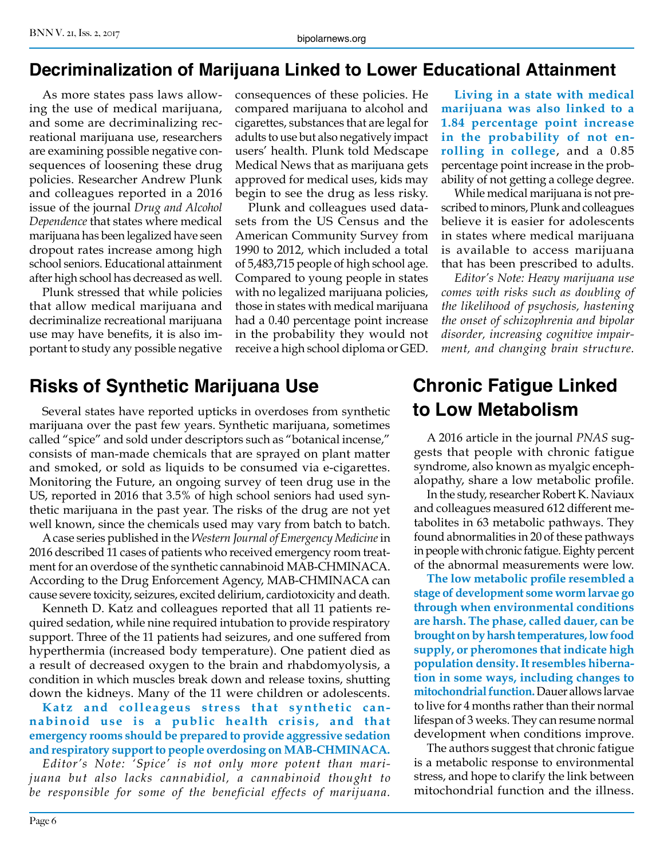#### **Decriminalization of Marijuana Linked to Lower Educational Attainment**

As more states pass laws allowing the use of medical marijuana, and some are decriminalizing recreational marijuana use, researchers are examining possible negative consequences of loosening these drug policies. Researcher Andrew Plunk and colleagues reported in a 2016 issue of the journal *Drug and Alcohol Dependence* that states where medical marijuana has been legalized have seen dropout rates increase among high school seniors. Educational attainment after high school has decreased as well.

Plunk stressed that while policies that allow medical marijuana and decriminalize recreational marijuana use may have benefits, it is also important to study any possible negative

consequences of these policies. He compared marijuana to alcohol and cigarettes, substances that are legal for adults to use but also negatively impact users' health. Plunk told Medscape Medical News that as marijuana gets approved for medical uses, kids may begin to see the drug as less risky.

Plunk and colleagues used datasets from the US Census and the American Community Survey from 1990 to 2012, which included a total of 5,483,715 people of high school age. Compared to young people in states with no legalized marijuana policies, those in states with medical marijuana had a 0.40 percentage point increase in the probability they would not receive a high school diploma or GED.

## **Risks of Synthetic Marijuana Use**

Several states have reported upticks in overdoses from synthetic marijuana over the past few years. Synthetic marijuana, sometimes called "spice" and sold under descriptors such as "botanical incense," consists of man-made chemicals that are sprayed on plant matter and smoked, or sold as liquids to be consumed via e-cigarettes. Monitoring the Future, an ongoing survey of teen drug use in the US, reported in 2016 that 3.5% of high school seniors had used synthetic marijuana in the past year. The risks of the drug are not yet well known, since the chemicals used may vary from batch to batch.

A case series published in the *Western Journal of Emergency Medicine* in 2016 described 11 cases of patients who received emergency room treatment for an overdose of the synthetic cannabinoid MAB-CHMINACA. According to the Drug Enforcement Agency, MAB-CHMINACA can cause severe toxicity, seizures, excited delirium, cardiotoxicity and death.

Kenneth D. Katz and colleagues reported that all 11 patients required sedation, while nine required intubation to provide respiratory support. Three of the 11 patients had seizures, and one suffered from hyperthermia (increased body temperature). One patient died as a result of decreased oxygen to the brain and rhabdomyolysis, a condition in which muscles break down and release toxins, shutting down the kidneys. Many of the 11 were children or adolescents.

**Katz and colleageus stress that synthetic cannabinoid use is a public health crisis, and that emergency rooms should be prepared to provide aggressive sedation and respiratory support to people overdosing on MAB-CHMINACA.**

*Editor's Note: 'Spice' is not only more potent than marijuana but also lacks cannabidiol, a cannabinoid thought to be responsible for some of the beneficial effects of marijuana.* 

**Living in a state with medical marijuana was also linked to a 1.84 percentage point increase in the probability of not enrolling in college**, and a 0.85 percentage point increase in the probability of not getting a college degree.

While medical marijuana is not prescribed to minors, Plunk and colleagues believe it is easier for adolescents in states where medical marijuana is available to access marijuana that has been prescribed to adults.

*Editor's Note: Heavy marijuana use comes with risks such as doubling of the likelihood of psychosis, hastening the onset of schizophrenia and bipolar disorder, increasing cognitive impairment, and changing brain structure.*

# **Chronic Fatigue Linked to Low Metabolism**

A 2016 article in the journal *PNAS* suggests that people with chronic fatigue syndrome, also known as myalgic encephalopathy, share a low metabolic profile.

In the study, researcher Robert K. Naviaux and colleagues measured 612 different metabolites in 63 metabolic pathways. They found abnormalities in 20 of these pathways in people with chronic fatigue. Eighty percent of the abnormal measurements were low.

**The low metabolic profile resembled a stage of development some worm larvae go through when environmental conditions are harsh. The phase, called dauer, can be brought on by harsh temperatures, low food supply, or pheromones that indicate high population density. It resembles hibernation in some ways, including changes to mitochondrial function.** Dauer allows larvae to live for 4 months rather than their normal lifespan of 3 weeks. They can resume normal development when conditions improve.

The authors suggest that chronic fatigue is a metabolic response to environmental stress, and hope to clarify the link between mitochondrial function and the illness.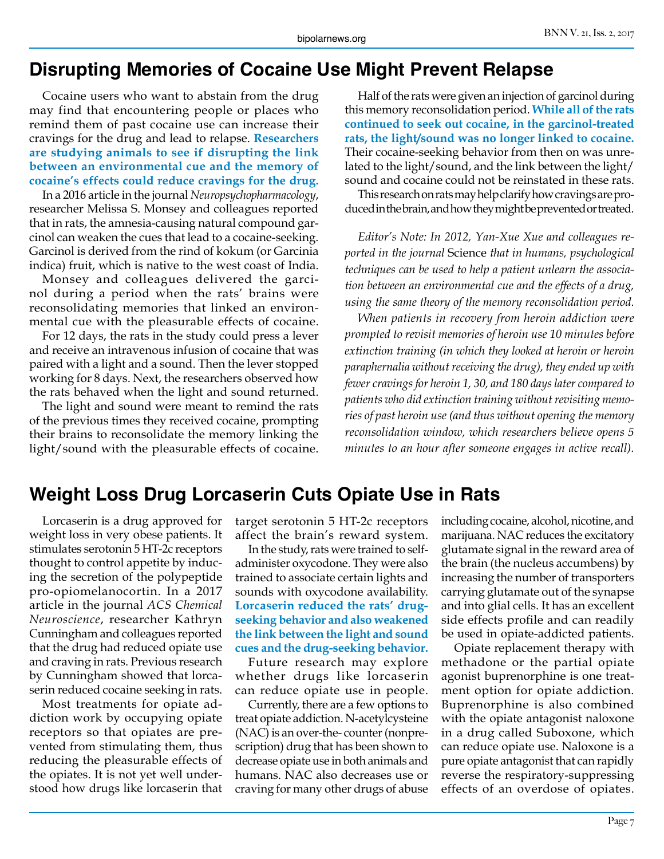## **Disrupting Memories of Cocaine Use Might Prevent Relapse**

Cocaine users who want to abstain from the drug may find that encountering people or places who remind them of past cocaine use can increase their cravings for the drug and lead to relapse. **Researchers are studying animals to see if disrupting the link between an environmental cue and the memory of cocaine's effects could reduce cravings for the drug.**

In a 2016 article in the journal *Neuropsychopharmacology*, researcher Melissa S. Monsey and colleagues reported that in rats, the amnesia-causing natural compound garcinol can weaken the cues that lead to a cocaine-seeking. Garcinol is derived from the rind of kokum (or Garcinia indica) fruit, which is native to the west coast of India.

Monsey and colleagues delivered the garcinol during a period when the rats' brains were reconsolidating memories that linked an environmental cue with the pleasurable effects of cocaine.

For 12 days, the rats in the study could press a lever and receive an intravenous infusion of cocaine that was paired with a light and a sound. Then the lever stopped working for 8 days. Next, the researchers observed how the rats behaved when the light and sound returned.

The light and sound were meant to remind the rats of the previous times they received cocaine, prompting their brains to reconsolidate the memory linking the light/sound with the pleasurable effects of cocaine.

Half of the rats were given an injection of garcinol during this memory reconsolidation period. **While all of the rats continued to seek out cocaine, in the garcinol-treated rats, the light/sound was no longer linked to cocaine.**  Their cocaine-seeking behavior from then on was unrelated to the light/sound, and the link between the light/ sound and cocaine could not be reinstated in these rats.

This research on rats may help clarify how cravings are produced in the brain, and how they might be prevented or treated.

*Editor's Note: In 2012, Yan-Xue Xue and colleagues reported in the journal* Science *that in humans, psychological techniques can be used to help a patient unlearn the association between an environmental cue and the effects of a drug, using the same theory of the memory reconsolidation period.* 

*When patients in recovery from heroin addiction were prompted to revisit memories of heroin use 10 minutes before extinction training (in which they looked at heroin or heroin paraphernalia without receiving the drug), they ended up with fewer cravings for heroin 1, 30, and 180 days later compared to patients who did extinction training without revisiting memories of past heroin use (and thus without opening the memory reconsolidation window, which researchers believe opens 5 minutes to an hour after someone engages in active recall).*

## **Weight Loss Drug Lorcaserin Cuts Opiate Use in Rats**

Lorcaserin is a drug approved for weight loss in very obese patients. It stimulates serotonin 5 HT-2c receptors thought to control appetite by inducing the secretion of the polypeptide pro-opiomelanocortin. In a 2017 article in the journal *ACS Chemical Neuroscience*, researcher Kathryn Cunningham and colleagues reported that the drug had reduced opiate use and craving in rats. Previous research by Cunningham showed that lorcaserin reduced cocaine seeking in rats.

Most treatments for opiate addiction work by occupying opiate receptors so that opiates are prevented from stimulating them, thus reducing the pleasurable effects of the opiates. It is not yet well understood how drugs like lorcaserin that target serotonin 5 HT-2c receptors affect the brain's reward system.

In the study, rats were trained to selfadminister oxycodone. They were also trained to associate certain lights and sounds with oxycodone availability. **Lorcaserin reduced the rats' drugseeking behavior and also weakened the link between the light and sound cues and the drug-seeking behavior.**

Future research may explore whether drugs like lorcaserin can reduce opiate use in people.

Currently, there are a few options to treat opiate addiction. N-acetylcysteine (NAC) is an over-the- counter (nonprescription) drug that has been shown to decrease opiate use in both animals and humans. NAC also decreases use or craving for many other drugs of abuse including cocaine, alcohol, nicotine, and marijuana. NAC reduces the excitatory glutamate signal in the reward area of the brain (the nucleus accumbens) by increasing the number of transporters carrying glutamate out of the synapse and into glial cells. It has an excellent side effects profile and can readily be used in opiate-addicted patients.

Opiate replacement therapy with methadone or the partial opiate agonist buprenorphine is one treatment option for opiate addiction. Buprenorphine is also combined with the opiate antagonist naloxone in a drug called Suboxone, which can reduce opiate use. Naloxone is a pure opiate antagonist that can rapidly reverse the respiratory-suppressing effects of an overdose of opiates.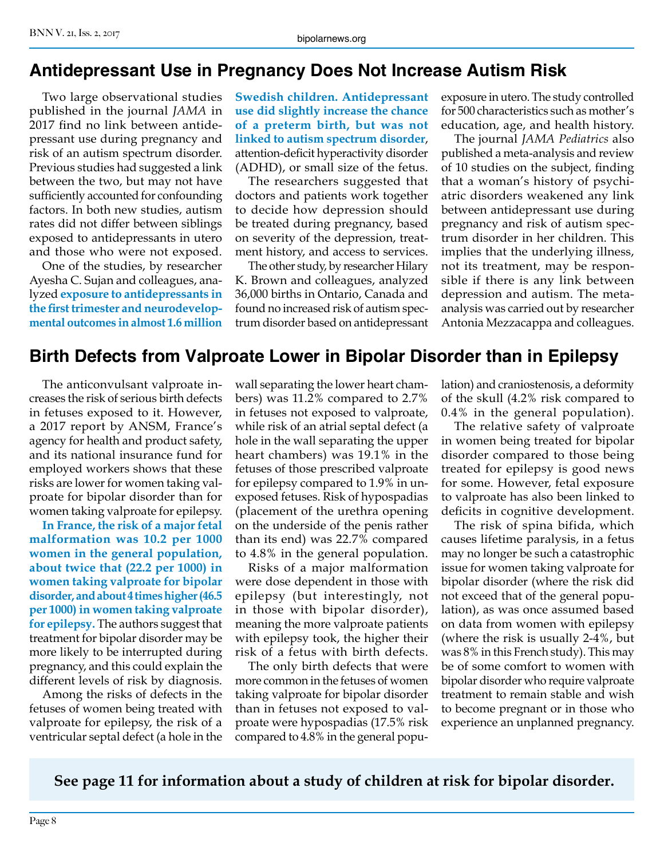### **Antidepressant Use in Pregnancy Does Not Increase Autism Risk**

Two large observational studies published in the journal *JAMA* in 2017 find no link between antidepressant use during pregnancy and risk of an autism spectrum disorder. Previous studies had suggested a link between the two, but may not have sufficiently accounted for confounding factors. In both new studies, autism rates did not differ between siblings exposed to antidepressants in utero and those who were not exposed.

One of the studies, by researcher Ayesha C. Sujan and colleagues, analyzed **exposure to antidepressants in the first trimester and neurodevelopmental outcomes in almost 1.6 million** 

**Swedish children. Antidepressant use did slightly increase the chance of a preterm birth, but was not linked to autism spectrum disorder**, attention-deficit hyperactivity disorder (ADHD), or small size of the fetus.

The researchers suggested that doctors and patients work together to decide how depression should be treated during pregnancy, based on severity of the depression, treatment history, and access to services.

The other study, by researcher Hilary K. Brown and colleagues, analyzed 36,000 births in Ontario, Canada and found no increased risk of autism spectrum disorder based on antidepressant

exposure in utero. The study controlled for 500 characteristics such as mother's education, age, and health history.

The journal *JAMA Pediatrics* also published a meta-analysis and review of 10 studies on the subject, finding that a woman's history of psychiatric disorders weakened any link between antidepressant use during pregnancy and risk of autism spectrum disorder in her children. This implies that the underlying illness, not its treatment, may be responsible if there is any link between depression and autism. The metaanalysis was carried out by researcher Antonia Mezzacappa and colleagues.

#### **Birth Defects from Valproate Lower in Bipolar Disorder than in Epilepsy**

The anticonvulsant valproate increases the risk of serious birth defects in fetuses exposed to it. However, a 2017 report by ANSM, France's agency for health and product safety, and its national insurance fund for employed workers shows that these risks are lower for women taking valproate for bipolar disorder than for women taking valproate for epilepsy.

**In France, the risk of a major fetal malformation was 10.2 per 1000 women in the general population, about twice that (22.2 per 1000) in women taking valproate for bipolar disorder, and about 4 times higher (46.5 per 1000) in women taking valproate for epilepsy.** The authors suggest that treatment for bipolar disorder may be more likely to be interrupted during pregnancy, and this could explain the different levels of risk by diagnosis.

Among the risks of defects in the fetuses of women being treated with valproate for epilepsy, the risk of a ventricular septal defect (a hole in the

wall separating the lower heart chambers) was 11.2% compared to 2.7% in fetuses not exposed to valproate, while risk of an atrial septal defect (a hole in the wall separating the upper heart chambers) was 19.1% in the fetuses of those prescribed valproate for epilepsy compared to 1.9% in unexposed fetuses. Risk of hypospadias (placement of the urethra opening on the underside of the penis rather than its end) was 22.7% compared to 4.8% in the general population.

Risks of a major malformation were dose dependent in those with epilepsy (but interestingly, not in those with bipolar disorder), meaning the more valproate patients with epilepsy took, the higher their risk of a fetus with birth defects.

The only birth defects that were more common in the fetuses of women taking valproate for bipolar disorder than in fetuses not exposed to valproate were hypospadias (17.5% risk compared to 4.8% in the general population) and craniostenosis, a deformity of the skull (4.2% risk compared to 0.4% in the general population).

The relative safety of valproate in women being treated for bipolar disorder compared to those being treated for epilepsy is good news for some. However, fetal exposure to valproate has also been linked to deficits in cognitive development.

The risk of spina bifida, which causes lifetime paralysis, in a fetus may no longer be such a catastrophic issue for women taking valproate for bipolar disorder (where the risk did not exceed that of the general population), as was once assumed based on data from women with epilepsy (where the risk is usually 2-4%, but was 8% in this French study). This may be of some comfort to women with bipolar disorder who require valproate treatment to remain stable and wish to become pregnant or in those who experience an unplanned pregnancy.

**See page 11 for information about a study of children at risk for bipolar disorder.**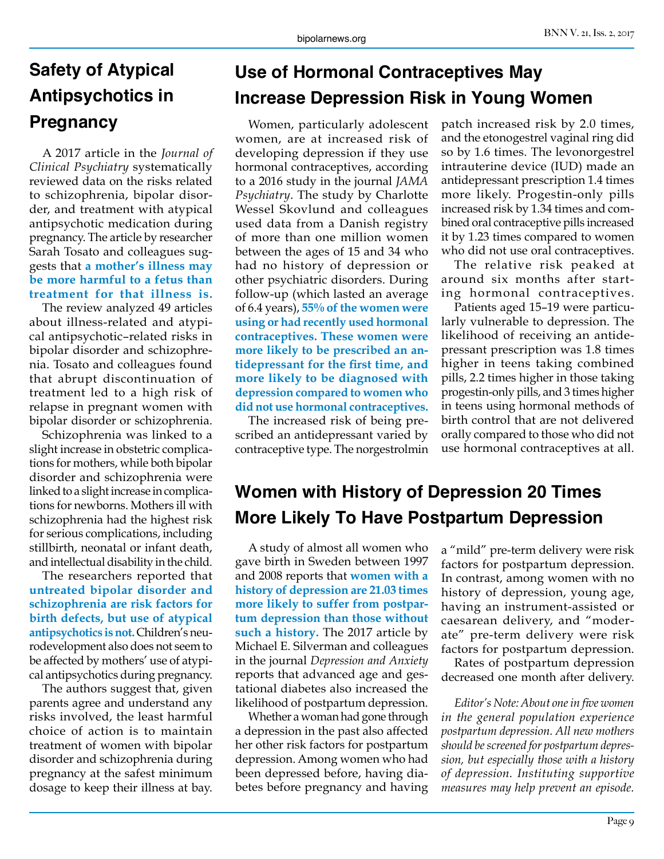# **Safety of Atypical Antipsychotics in Pregnancy**

A 2017 article in the *Journal of Clinical Psychiatry* systematically reviewed data on the risks related to schizophrenia, bipolar disorder, and treatment with atypical antipsychotic medication during pregnancy. The article by researcher Sarah Tosato and colleagues suggests that **a mother's illness may be more harmful to a fetus than treatment for that illness is.**

The review analyzed 49 articles about illness-related and atypical antipsychotic–related risks in bipolar disorder and schizophrenia. Tosato and colleagues found that abrupt discontinuation of treatment led to a high risk of relapse in pregnant women with bipolar disorder or schizophrenia.

Schizophrenia was linked to a slight increase in obstetric complications for mothers, while both bipolar disorder and schizophrenia were linked to a slight increase in complications for newborns. Mothers ill with schizophrenia had the highest risk for serious complications, including stillbirth, neonatal or infant death, and intellectual disability in the child.

The researchers reported that **untreated bipolar disorder and schizophrenia are risk factors for birth defects, but use of atypical antipsychotics is not.** Children's neurodevelopment also does not seem to be affected by mothers' use of atypical antipsychotics during pregnancy.

The authors suggest that, given parents agree and understand any risks involved, the least harmful choice of action is to maintain treatment of women with bipolar disorder and schizophrenia during pregnancy at the safest minimum dosage to keep their illness at bay.

# **Use of Hormonal Contraceptives May Increase Depression Risk in Young Women**

Women, particularly adolescent women, are at increased risk of developing depression if they use hormonal contraceptives, according to a 2016 study in the journal *JAMA Psychiatry*. The study by Charlotte Wessel Skovlund and colleagues used data from a Danish registry of more than one million women between the ages of 15 and 34 who had no history of depression or other psychiatric disorders. During follow-up (which lasted an average of 6.4 years), **55% of the women were using or had recently used hormonal contraceptives. These women were more likely to be prescribed an antidepressant for the first time, and more likely to be diagnosed with depression compared to women who did not use hormonal contraceptives.**

The increased risk of being prescribed an antidepressant varied by contraceptive type. The norgestrolmin patch increased risk by 2.0 times, and the etonogestrel vaginal ring did so by 1.6 times. The levonorgestrel intrauterine device (IUD) made an antidepressant prescription 1.4 times more likely. Progestin-only pills increased risk by 1.34 times and combined oral contraceptive pills increased it by 1.23 times compared to women who did not use oral contraceptives.

The relative risk peaked at around six months after starting hormonal contraceptives.

Patients aged 15–19 were particularly vulnerable to depression. The likelihood of receiving an antidepressant prescription was 1.8 times higher in teens taking combined pills, 2.2 times higher in those taking progestin-only pills, and 3 times higher in teens using hormonal methods of birth control that are not delivered orally compared to those who did not use hormonal contraceptives at all.

# **Women with History of Depression 20 Times More Likely To Have Postpartum Depression**

A study of almost all women who gave birth in Sweden between 1997 and 2008 reports that **women with a history of depression are 21.03 times more likely to suffer from postpartum depression than those without such a history.** The 2017 article by Michael E. Silverman and colleagues in the journal *Depression and Anxiety*  reports that advanced age and gestational diabetes also increased the likelihood of postpartum depression.

Whether a woman had gone through a depression in the past also affected her other risk factors for postpartum depression. Among women who had been depressed before, having diabetes before pregnancy and having

a "mild" pre-term delivery were risk factors for postpartum depression. In contrast, among women with no history of depression, young age, having an instrument-assisted or caesarean delivery, and "moderate" pre-term delivery were risk factors for postpartum depression.

Rates of postpartum depression decreased one month after delivery.

*Editor's Note: About one in five women in the general population experience postpartum depression. All new mothers should be screened for postpartum depression, but especially those with a history of depression. Instituting supportive measures may help prevent an episode.*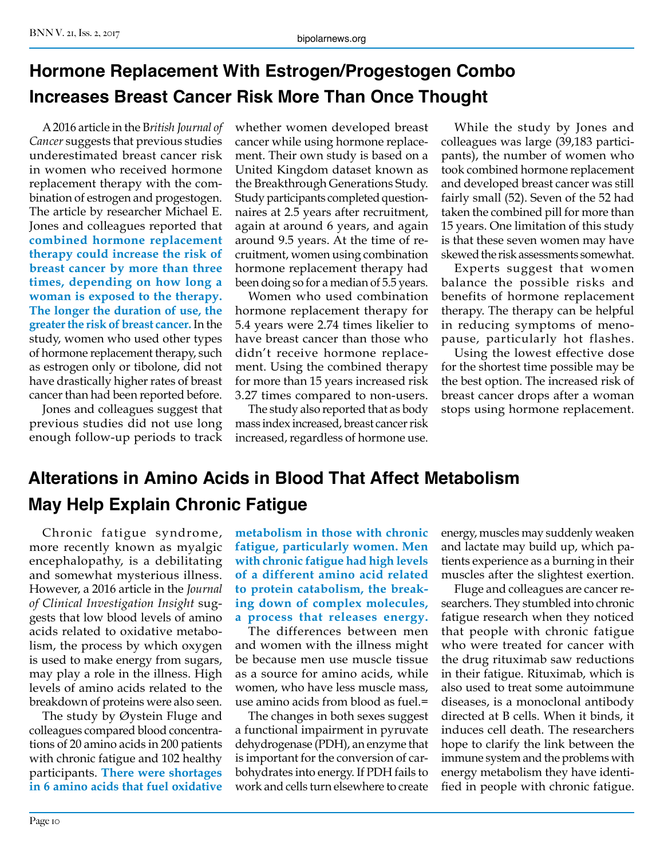# **Hormone Replacement With Estrogen/Progestogen Combo Increases Breast Cancer Risk More Than Once Thought**

A 2016 article in the B*ritish Journal of Cancer* suggests that previous studies underestimated breast cancer risk in women who received hormone replacement therapy with the combination of estrogen and progestogen. The article by researcher Michael E. Jones and colleagues reported that **combined hormone replacement therapy could increase the risk of breast cancer by more than three times, depending on how long a woman is exposed to the therapy. The longer the duration of use, the greater the risk of breast cancer.** In the study, women who used other types of hormone replacement therapy, such as estrogen only or tibolone, did not have drastically higher rates of breast cancer than had been reported before.

Jones and colleagues suggest that previous studies did not use long enough follow-up periods to track whether women developed breast cancer while using hormone replacement. Their own study is based on a United Kingdom dataset known as the Breakthrough Generations Study. Study participants completed questionnaires at 2.5 years after recruitment, again at around 6 years, and again around 9.5 years. At the time of recruitment, women using combination hormone replacement therapy had been doing so for a median of 5.5 years.

Women who used combination hormone replacement therapy for 5.4 years were 2.74 times likelier to have breast cancer than those who didn't receive hormone replacement. Using the combined therapy for more than 15 years increased risk 3.27 times compared to non-users.

The study also reported that as body mass index increased, breast cancer risk increased, regardless of hormone use.

While the study by Jones and colleagues was large (39,183 participants), the number of women who took combined hormone replacement and developed breast cancer was still fairly small (52). Seven of the 52 had taken the combined pill for more than 15 years. One limitation of this study is that these seven women may have skewed the risk assessments somewhat.

Experts suggest that women balance the possible risks and benefits of hormone replacement therapy. The therapy can be helpful in reducing symptoms of menopause, particularly hot flashes.

Using the lowest effective dose for the shortest time possible may be the best option. The increased risk of breast cancer drops after a woman stops using hormone replacement.

# **Alterations in Amino Acids in Blood That Affect Metabolism May Help Explain Chronic Fatigue**

Chronic fatigue syndrome, more recently known as myalgic encephalopathy, is a debilitating and somewhat mysterious illness. However, a 2016 article in the *Journal of Clinical Investigation Insight* suggests that low blood levels of amino acids related to oxidative metabolism, the process by which oxygen is used to make energy from sugars, may play a role in the illness. High levels of amino acids related to the breakdown of proteins were also seen.

The study by Øystein Fluge and colleagues compared blood concentrations of 20 amino acids in 200 patients with chronic fatigue and 102 healthy participants. **There were shortages in 6 amino acids that fuel oxidative** 

**metabolism in those with chronic fatigue, particularly women. Men with chronic fatigue had high levels of a different amino acid related to protein catabolism, the breaking down of complex molecules, a process that releases energy.**

The differences between men and women with the illness might be because men use muscle tissue as a source for amino acids, while women, who have less muscle mass, use amino acids from blood as fuel.=

The changes in both sexes suggest a functional impairment in pyruvate dehydrogenase (PDH), an enzyme that is important for the conversion of carbohydrates into energy. If PDH fails to work and cells turn elsewhere to create

energy, muscles may suddenly weaken and lactate may build up, which patients experience as a burning in their muscles after the slightest exertion.

Fluge and colleagues are cancer researchers. They stumbled into chronic fatigue research when they noticed that people with chronic fatigue who were treated for cancer with the drug rituximab saw reductions in their fatigue. Rituximab, which is also used to treat some autoimmune diseases, is a monoclonal antibody directed at B cells. When it binds, it induces cell death. The researchers hope to clarify the link between the immune system and the problems with energy metabolism they have identified in people with chronic fatigue.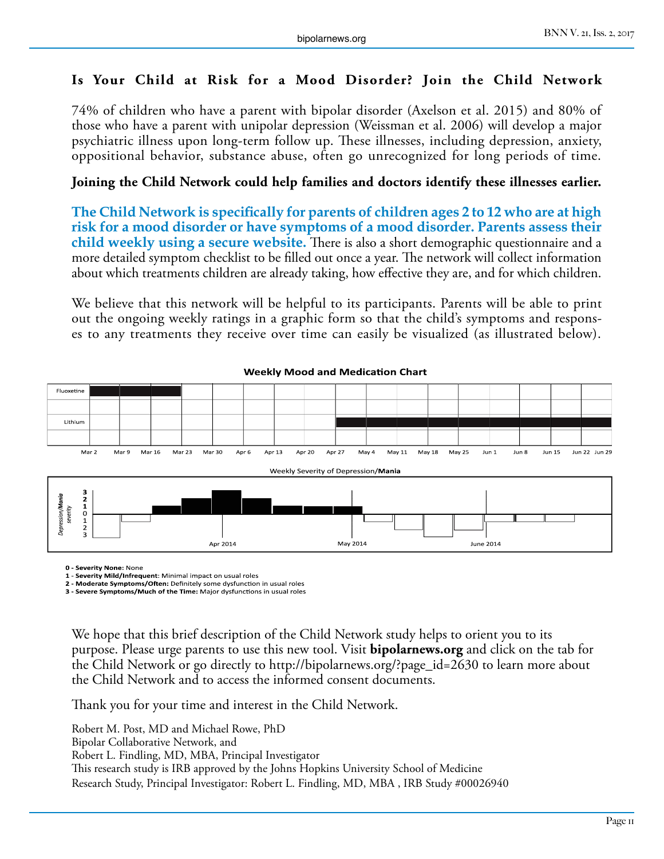#### **Is Your Child at Risk for a Mood Disorder? Join the Child Network**

74% of children who have a parent with bipolar disorder (Axelson et al. 2015) and 80% of those who have a parent with unipolar depression (Weissman et al. 2006) will develop a major psychiatric illness upon long-term follow up. These illnesses, including depression, anxiety, oppositional behavior, substance abuse, often go unrecognized for long periods of time.

#### **Joining the Child Network could help families and doctors identify these illnesses earlier.**

**The Child Network is specifically for parents of children ages 2 to 12 who are at high risk for a mood disorder or have symptoms of a mood disorder. Parents assess their child weekly using a secure website.** There is also a short demographic questionnaire and a more detailed symptom checklist to be filled out once a year. The network will collect information about which treatments children are already taking, how effective they are, and for which children.

We believe that this network will be helpful to its participants. Parents will be able to print out the ongoing weekly ratings in a graphic form so that the child's symptoms and responses to any treatments they receive over time can easily be visualized (as illustrated below).



#### **Weekly Mood and Medication Chart**

**0 - Severity None:** None

**1 - Severity Mild/Infrequent**: Minimal impact on usual roles

**2 - Moderate Symptoms/Often:** Definitely some dysfunction in usual roles

**3 - Severe Symptoms/Much of the Time:** Major dysfunctions in usual roles

We hope that this brief description of the Child Network study helps to orient you to its purpose. Please urge parents to use this new tool. Visit **bipolarnews.org** and click on the tab for the Child Network or go directly to http://bipolarnews.org/?page\_id=2630 to learn more about the Child Network and to access the informed consent documents.

Thank you for your time and interest in the Child Network.

Robert M. Post, MD and Michael Rowe, PhD Bipolar Collaborative Network, and Robert L. Findling, MD, MBA, Principal Investigator This research study is IRB approved by the Johns Hopkins University School of Medicine Research Study, Principal Investigator: Robert L. Findling, MD, MBA , IRB Study #00026940